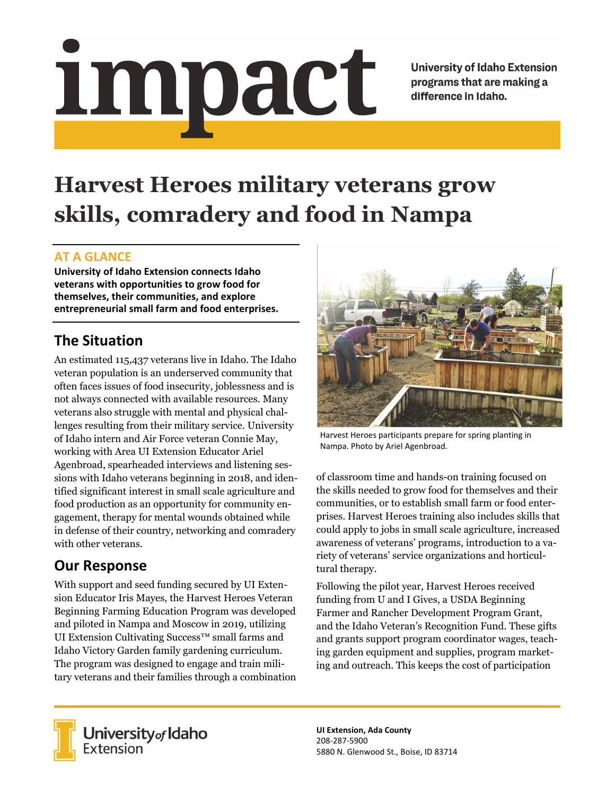impact

**University of Idaho Extension** programs that are making a difference in Idaho.

# **Harvest Heroes military veterans grow skills, comradery and food in Nampa**

### **AT A GLANCE**

**University of Idaho Extension connects Idaho veterans with opportunities to grow food for themselves, their communities, and explore entrepreneurial small farm and food enterprises.**

# **The Situation**

An estimated 115,437 veterans live in Idaho. The Idaho veteran population is an underserved community that often faces issues of food insecurity, joblessness and is not always connected with available resources. Many veterans also struggle with mental and physical challenges resulting from their military service. University of Idaho intern and Air Force veteran Connie May, working with Area UI Extension Educator Ariel Agenbroad, spearheaded interviews and listening sessions with Idaho veterans beginning in 2018, and identified significant interest in small scale agriculture and food production as an opportunity for community engagement, therapy for mental wounds obtained while in defense of their country, networking and comradery with other veterans.

## **Our Response**

With support and seed funding secured by UI Extension Educator Iris Mayes, the Harvest Heroes Veteran Beginning Farming Education Program was developed and piloted in Nampa and Moscow in 2019, utilizing UI Extension Cultivating Success™ small farms and Idaho Victory Garden family gardening curriculum. The program was designed to engage and train military veterans and their families through a combination



Harvest Heroes participants prepare for spring planting in Nampa. Photo by Ariel Agenbroad.

of classroom time and hands-on training focused on the skills needed to grow food for themselves and their communities, or to establish small farm or food enterprises. Harvest Heroes training also includes skills that could apply to jobs in small scale agriculture, increased awareness of veterans' programs, introduction to a variety of veterans' service organizations and horticultural therapy.

Following the pilot year, Harvest Heroes received funding from U and I Gives, a USDA Beginning Farmer and Rancher Development Program Grant, and the Idaho Veteran's Recognition Fund. These gifts and grants support program coordinator wages, teaching garden equipment and supplies, program marketing and outreach. This keeps the cost of participation



**University** of Idaho<br>Extension

**UI Extension, Ada County** 208‐287‐5900 5880 N. Glenwood St., Boise, ID 83714